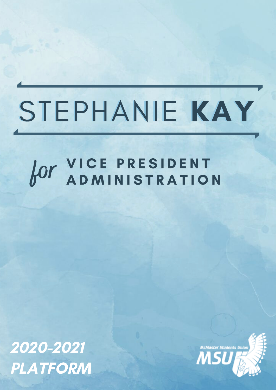# STEPHANIE KAY

# VICE PRESIDENT OUT VICE PRESIDENT

2020-2021 PLATFORM

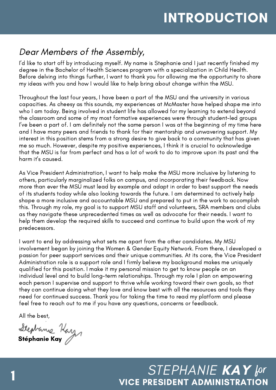# INTRODUCTION

### Dear Members of the Assembly,

I'd like to start off by introducing myself. My name is Stephanie and I just recently finished my degree in the Bachelor of Health Sciences program with a specialization in Child Health. Before delving into things further, I want to thank you for allowing me the opportunity to share my ideas with you and how I would like to help bring about change within the MSU.

Throughout the last four years, I have been a part of the MSU and the university in various capacities. As cheesy as this sounds, my experiences at McMaster have helped shape me into who I am today. Being involved in student life has allowed for my learning to extend beyond the classroom and some of my most formative experiences were through student-led groups I've been a part of. I am definitely not the same person I was at the beginning of my time here and I have many peers and friends to thank for their mentorship and unwavering support. My interest in this position stems from a strong desire to give back to a community that has given me so much. However, despite my positive experiences, I think it is crucial to acknowledge that the MSU is far from perfect and has a lot of work to do to improve upon its past and the harm it's caused.

As Vice President Administration, I want to help make the MSU more inclusive by listening to others, particularly marginalized folks on campus, and incorporating their feedback. Now more than ever the MSU must lead by example and adapt in order to best support the needs of its students today while also looking towards the future. I am determined to actively help shape a more inclusive and accountable MSU and prepared to put in the work to accomplish this. Through my role, my goal is to support MSU staff and volunteers, SRA members and clubs as they navigate these unprecedented times as well as advocate for their needs. I want to help them develop the required skills to succeed and continue to build upon the work of my predecessors.

I want to end by addressing what sets me apart from the other candidates. My MSU involvement began by joining the Women & Gender Equity Network. From there, I developed a passion for peer support services and their unique communities. At its core, the Vice President Administration role is a support role and I firmly believe my background makes me uniquely qualified for this position. I make it my personal mission to get to know people on an individual level and to build long-term relationships. Through my role I plan on empowering each person I supervise and support to thrive while working toward their own goals, so that they can continue doing what they love and know best with all the resources and tools they need for continued success. Thank you for taking the time to read my platform and please feel free to reach out to me if you have any questions, concerns or feedback.

All the best,

Stephanie Kazy<br>Stéphanie Kay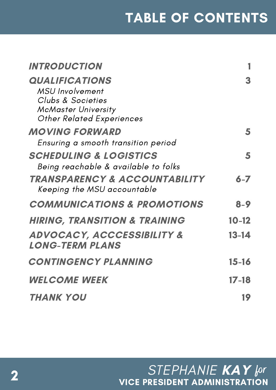| <b>INTRODUCTION</b>                                                                                                                    |           |
|----------------------------------------------------------------------------------------------------------------------------------------|-----------|
| <b>QUALIFICATIONS</b><br><b>MSU</b> Involvement<br>Clubs & Societies<br><b>McMaster University</b><br><b>Other Related Experiences</b> |           |
| <b>MOVING FORWARD</b><br>Ensuring a smooth transition period                                                                           | 5         |
| <b>SCHEDULING &amp; LOGISTICS</b><br>Being reachable & available to folks                                                              | 5         |
| <b>TRANSPARENCY &amp; ACCOUNTABILITY</b><br>Keeping the MSU accountable                                                                | $6 - 7$   |
| <b>COMMUNICATIONS &amp; PROMOTIONS</b>                                                                                                 | $8 - 9$   |
| <b>HIRING, TRANSITION &amp; TRAINING</b>                                                                                               | $10 - 12$ |
| <b>ADVOCACY, ACCCESSIBILITY &amp;</b><br><b>LONG-TERM PLANS</b>                                                                        | 13-14     |
| <b>CONTINGENCY PLANNING</b>                                                                                                            | 15-16     |
| <b>WELCOME WEEK</b>                                                                                                                    | $17 - 18$ |
| <b>THANK YOU</b>                                                                                                                       | 19        |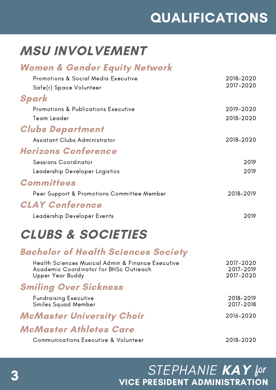# QUALIFICATIONS

# MSU INVOLVEMENT

### Women & Gender Equity Network

| Promotions & Social Media Executive            | 2018-2020 |
|------------------------------------------------|-----------|
| Safe(r) Space Volunteer                        | 2017-2020 |
| Spark                                          |           |
| <b>Promotions &amp; Publications Executive</b> | 2019-2020 |
| Team Leader                                    | 2018-2020 |
| <b>Clubs Department</b>                        |           |
| Assistant Clubs Administrator                  | 2018-2020 |
| <b>Horizons Conference</b>                     |           |
| <b>Sessions Coordinator</b>                    | 2019      |
| Leadership Developer Logistics                 | 2019      |
| <b>Committees</b>                              |           |
| Peer Support & Promotions Committee Member     | 2018-2019 |
| <b>CLAY Conference</b>                         |           |
| Leadership Developer Events                    | 2019      |

# CLUBS & SOCIETIES

### Bachelor of Health Sciences Society

| Health Sciences Musical Admin & Finance Executive<br>Academic Coordinator for BHSc Outreach<br>Upper Year Buddy | 2017-2020<br>2017-2019<br>2017-2020 |
|-----------------------------------------------------------------------------------------------------------------|-------------------------------------|
| <b>Smiling Over Sickness</b>                                                                                    |                                     |
| <b>Fundraising Executive</b><br>Smiles Squad Member                                                             | 2018-2019<br>2017-2018              |
| <b>McMaster University Choir</b>                                                                                | 2016-2020                           |
| McMaster Athletes Care                                                                                          |                                     |
| <b>Communications Executive &amp; Volunteer</b>                                                                 | 2018-2020                           |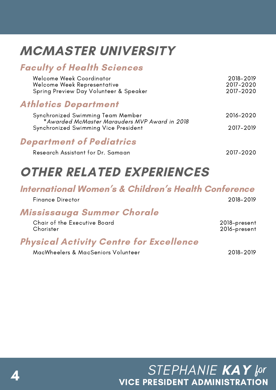# MCMASTER UNIVERSITY

### Faculty of Health Sciences

| Welcome Week Coordinator               | 2018-2019 |
|----------------------------------------|-----------|
| Welcome Week Representative            | 2017-2020 |
| Spring Preview Day Volunteer & Speaker | 2017-2020 |

### Athletics Department

| Synchronized Swimming Team Member             | 2016-2020 |
|-----------------------------------------------|-----------|
| *Awarded McMaster Marauders MVP Award in 2018 |           |
| Synchronized Swimming Vice President          | 2017-2019 |

### Department of Pediatrics

| Research Assistant for Dr. Samaan |  |  |  |  |  |
|-----------------------------------|--|--|--|--|--|
|-----------------------------------|--|--|--|--|--|

Research Assistant for Dr. Samaan 2017-2020

# OTHER RELATED EXPERIENCES

### International Women ' s & Children 's Health Conference

| <b>Finance Director</b>                   | 2018-2019                    |
|-------------------------------------------|------------------------------|
| Mississauga Summer Chorale                |                              |
| Chair of the Executive Board<br>Chorister | 2018-present<br>2016-present |
| <u>ni e ia een anders F</u>               |                              |

### Physical Activity Centre for Excellence

MacWheelers & MacSeniors Volunteer 2018-2019

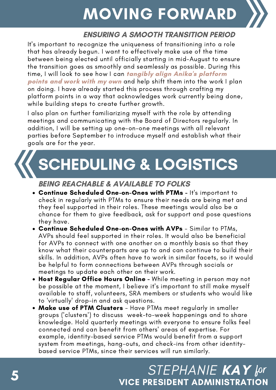### BRAILING FADILLADD MOVING FORWARD

### ENSURING A SMOOTH TRANSITION PERIOD

It's important to recognize the uniqueness of transitioning into a role that has already begun. I want to effectively make use of the time between being elected until officially starting in mid-August to ensure the transition goes as smoothly and seamlessly as possible. During this time, I will look to see how I can tangibly align Anika's platform points and work with my own and help shift them into the work I plan on doing. I have already started this process through crafting my platform points in a way that acknowledges work currently being done, while building steps to create further growth.

I also plan on further familiarizing myself with the role by attending meetings and communicating with the Board of Directors regularly. In addition, I will be setting up one-on-one meetings with all relevant parties before September to introduce myself and establish what their goals are for the year.

# SCHEDULING & LOGISTICS

#### BEING REACHABLE & AVAILABLE TO FOLKS

- Continue Scheduled One-on-Ones with PTMs It's important to check in regularly with PTMs to ensure their needs are being met and they feel supported in their roles. These meetings would also be a chance for them to give feedback, ask for support and pose questions they have.
- Continue Scheduled One-on-Ones with AVPs Similar to PTMs, AVPs should feel supported in their roles. It would also be beneficial for AVPs to connect with one another on a monthly basis so that they know what their counterparts are up to and can continue to build their skills. In addition, AVPs often have to work in similar facets, so it would be helpful to form connections between AVPs through socials or meetings to update each other on their work.
- Host Regular Office Hours Online While meeting in person may not be possible at the moment, I believe it's important to still make myself available to staff, volunteers, SRA members or students who would like to 'virtually' drop-in and ask questions.<br>• Make use of PTM Clusters - Have PTMs meet regularly in smaller
- groups ('clusters') to discuss week-to-week happenings and to share knowledge. Hold quarterly meetings with everyone to ensure folks feel connected and can benefit from others' areas of expertise. For example, identity-based service PTMs would benefit from a support system from meetings, hang-outs, and check-ins from other identitybased service PTMs, since their services will run similarly.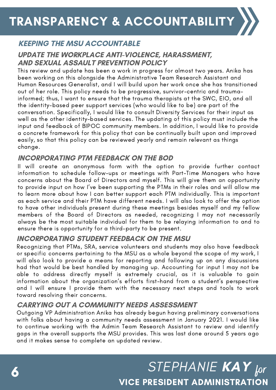

### KEEPING THE MSU ACCOUNTABLE

#### UPDATE THE WORKPLACE ANTI-VIOLENCE, HARASSMENT, AND SEXUAL ASSAULT PREVENTION POLICY

This review and update has been a work in progress for almost two years. Anika has been working on this alongside the Administrative Team Research Assistant and Human Resources Generalist, and I will build upon her work once she has transitioned out of her role. This policy needs to be progressive, survivor-centric and traumainformed; thus, I want to ensure that the trauma therapists at the SWC, EIO, and all the identity-based peer support services (who would like to be) are part of the conversation. Specifically, I would like to consult Diversity Services for their input as well as the other identity-based services. The updating of this policy must include the input and feedback of BIPOC community members. In addition, I would like to provide a concrete framework for this policy that can be continually built upon and improved easily, so that this policy can be reviewed yearly and remain relevant as things change.

#### INCORPORATING PTM FEEDBACK ON THE BOD

II will create an anonymous form with the option to provide further contact information to schedule follow-ups or meetings with Part-Time Managers who have concerns about the Board of Directors and myself. This will give them an opportunity to provide input on how I've been supporting the PTMs in their roles and will allow me to learn more about how I can better support each PTM individually. This is important as each service and their PTM have different needs. I will also look to offer the option to have other individuals present during these meetings besides myself and my fellow members of the Board of Directors as needed, recognizing I may not necessarily always be the most suitable individual for them to be relaying information to and to ensure there is opportunity for a third-party to be present.

#### INCORPORATING STUDENT FEEDBACK ON THE MSU

Recognizing that PTMs, SRA, service volunteers and students may also have feedback or specific concerns pertaining to the MSU as a whole beyond the scope of my work, I will also look to provide a means for reporting and following up on any discussions had that would be best handled by managing up. Accounting for input I may not be able to address directly myself is extremely crucial, as it is valuable to gain information about the organization's efforts first-hand from a student's perspective and I will ensure I provide them with the necessary next steps and tools to work toward resolving their concerns.

#### CARRYING OUT A COMMUNITY NEEDS ASSESSMENT

Outgoing VP Administration Anika has already begun having preliminary conversations with folks about having a community needs assessment in January 2021. I would like to continue working with the Admin Team Research Assistant to review and identify gaps in the overall supports the MSU provides. This was last done around 5 years ago and it makes sense to complete an updated review.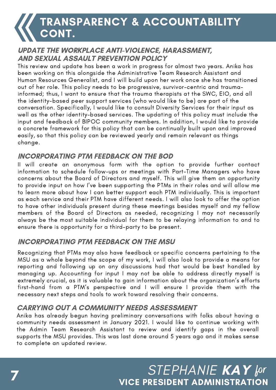# TRANSPARENCY & ACCOUNTABILITY CONT.

#### UPDATE THE WORKPLACE ANTI-VIOLENCE, HARASSMENT, AND SEXUAL ASSAULT PREVENTION POLICY

This review and update has been a work in progress for almost two years. Anika has been working on this alongside the Administrative Team Research Assistant and Human Resources Generalist, and I will build upon her work once she has transitioned out of her role. This policy needs to be progressive, survivor-centric and traumainformed; thus, I want to ensure that the trauma therapists at the SWC, EIO, and all the identity-based peer support services (who would like to be) are part of the conversation. Specifically, I would like to consult Diversity Services for their input as well as the other identity-based services. The updating of this policy must include the input and feedback of BIPOC community members. In addition, I would like to provide a concrete framework for this policy that can be continually built upon and improved easily, so that this policy can be reviewed yearly and remain relevant as things change.

#### INCORPORATING PTM FEEDBACK ON THE BOD

II will create an anonymous form with the option to provide further contact information to schedule follow-ups or meetings with Part-Time Managers who have concerns about the Board of Directors and myself. This will give them an opportunity to provide input on how I've been supporting the PTMs in their roles and will allow me to learn more about how I can better support each PTM individually. This is important as each service and their PTM have different needs. I will also look to offer the option to have other individuals present during these meetings besides myself and my fellow members of the Board of Directors as needed, recognizing I may not necessarily always be the most suitable individual for them to be relaying information to and to ensure there is opportunity for a third-party to be present.

#### INCORPORATING PTM FEEDBACK ON THE MSU

Recognizing that PTMs may also have feedback or specific concerns pertaining to the MSU as a whole beyond the scope of my work, I will also look to provide a means for reporting and following up on any discussions had that would be best handled by managing up. Accounting for input I may not be able to address directly myself is extremely crucial, as it is valuable to gain information about the organization's efforts first-hand from a PTM's perspective and I will ensure I provide them with the necessary next steps and tools to work toward resolving their concerns.

#### CARRYING OUT A COMMUNITY NEEDS ASSESSMENT

Anika has already begun having preliminary conversations with folks about having a community needs assessment in January 2021. I would like to continue working with the Admin Team Research Assistant to review and identify gaps in the overall supports the MSU provides. This was last done around 5 years ago and it makes sense to complete an updated review.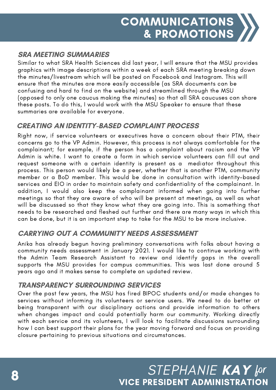#### SRA MEETING SUMMARIES

Similar to what SRA Health Sciences did last year, I will ensure that the MSU provides graphics with image descriptions within a week of each SRA meeting breaking down the minutes/livestream which will be posted on Facebook and Instagram. This will ensure that the minutes are more easily accessible (as SRA documents can be confusing and hard to find on the website) and streamlined through the MSU (opposed to only one caucus making the minutes) so that all SRA caucuses can share these posts. To do this, I would work with the MSU Speaker to ensure that these summaries are available for everyone.

#### CREATING AN IDENTITY-BASED COMPLAINT PROCESS

Right now, if service volunteers or executives have a concern about their PTM, their concerns go to the VP Admin. However, this process is not always comfortable for the complainant; for example, if the person has a complaint about racism and the VP Admin is white. I want to create a form in which service volunteers can fill out and request someone with a certain identity is present as a mediator throughout this process. This person would likely be a peer, whether that is another PTM, community member or a BoD member. This would be done in consultation with identity-based services and EIO in order to maintain safety and confidentiality of the complainant. In addition, I would also keep the complainant informed when going into further meetings so that they are aware of who will be present at meetings, as well as what will be discussed so that they know what they are going into. This is something that needs to be researched and fleshed out further and there are many ways in which this can be done, but it is an important step to take for the MSU to be more inclusive.

#### CARRYING OUT A COMMUNITY NEEDS ASSESSMENT

Anika has already begun having preliminary conversations with folks about having a community needs assessment in January 2021. I would like to continue working with the Admin Team Research Assistant to review and identify gaps in the overall supports the MSU provides for campus communities. This was last done around 5 years ago and it makes sense to complete an updated review.

#### TRANSPARENCY SURROUNDING SERVICES

Over the past few years, the MSU has fired BIPOC students and/or made changes to services without informing its volunteers or service users. We need to do better at being transparent with our disciplinary actions and provide information to others when changes impact and could potentially harm our community. Working directly with each service and its volunteers, I will look to facilitate discussions surrounding how I can best support their plans for the year moving forward and focus on providing closure pertaining to previous situations and circumstances.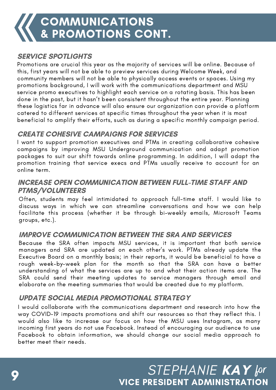#### SERVICE SPOTLIGHTS

community members will not be able to physically access events or spaces. Using my promotions background, I will work will the communications department and mood<br>service promo executives to highlight each service on a rotating basis. This has been Promotions are crucial this year as the majority of services will be online. Because of this, first years will not be able to preview services during Welcome Week, and promotions background, I will work with the communications department and MSU done in the past, but it hasn't been consistent throughout the entire year. Planning these logistics far in advance will also ensure our organization can provide a platform catered to different services at specific times throughout the year when it is most beneficial to amplify their efforts, such as during a specific monthly campaign period.

#### CREATE COHESIVE CAMPAIGNS FOR SERVICES

I want to support promotion executives and PTMs in creating collaborative cohesive campaigns by improving MSU Underground communication and adapt promotion packages to suit our shift towards online programming. In addition, I will adapt the promotion training that service execs and PTMs usually receive to account for an online term.

#### INCREASE OPEN COMMUNICATION BETWEEN FULL-TIME STAFF AND PTMS/VOLUNTEERS

Often, students may feel intimidated to approach full-time staff. I would like to discuss ways in which we can streamline conversations and how we can help facilitate this process (whether it be through bi-weekly emails, Microsoft Teams groups, etc.).

#### IMPROVE COMMUNICATION BETWEEN THE SRA AND SERVICES

Because the SRA often impacts MSU services, it is important that both service managers and SRA are updated on each other's work. PTMs already update the Executive Board on a monthly basis; in their reports, it would be beneficial to have a rough week-by-week plan for the month so that the SRA can have a better understanding of what the services are up to and what their action items are. The SRA could send their meeting updates to service managers through email and elaborate on the meeting summaries that would be created due to my platform.

#### UPDATE SOCIAL MEDIA PROMOTIONAL STRATEGY

I would collaborate with the communications department and research into how the way COVID-19 impacts promotions and shift our resources so that they reflect this. I would also like to increase our focus on how the MSU uses Instagram, as many incoming first years do not use Facebook. Instead of encouraging our audience to use Facebook to obtain information, we should change our social media approach to better meet their needs.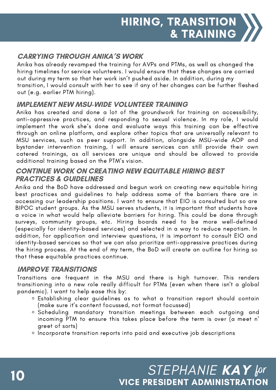#### CARRYING THROUGH ANIKA'S WORK

out during my term so that her work isn't pushed aside. In addition, during my<br>transition, I would consult with her to see if any of her changes can be further fleshed Anika has already revamped the training for AVPs and PTMs, as well as changed the hiring timelines for service volunteers. I would ensure that these changes are carried out during my term so that her work isn't pushed aside. In addition, during my out (e.g. earlier PTM hiring).

#### IMPLEMENT NEW MSU-WIDE VOLUNTEER TRAINING

Anika has created and done a lot of the groundwork for training on accessibility, anti-oppressive practices, and responding to sexual violence. In my role, I would implement the work she's done and evaluate ways this training can be effective through an online platform, and explore other topics that are universally relevant to MSU services, such as peer support. In addition, alongside MSU-wide AOP and bystander intervention training, I will ensure services can still provide their own catered trainings, as all services are unique and should be allowed to provide additional training based on the PTM's vision.

#### CONTINUE WORK ON CREATING NEW EQUITABLE HIRING BEST PRACTICES & GUIDELINES

Anika and the BoD have addressed and begun work on creating new equitable hiring best practices and guidelines to help address some of the barriers there are in accessing our leadership positions. I want to ensure that EIO is consulted but so are BIPOC student groups. As the MSU serves students, it is important that students have a voice in what would help alleviate barriers for hiring. This could be done through surveys, community groups, etc. Hiring boards need to be more well-defined (especially for identity-based services) and selected in a way to reduce nepotism. In addition, for application and interview questions, it is important to consult EIO and identity-based services so that we can also prioritize anti-oppressive practices during the hiring process. At the end of my term, the BoD will create an outline for hiring so that these equitable practices continue.

#### IMPROVE TRANSITIONS

Transitions are frequent in the MSU and there is high turnover. This renders transitioning into a new role really difficult for PTMs (even when there isn't a global pandemic). I want to help ease this by:

- Establishing clear guidelines as to what a transition report should contain (make sure it's content focussed, not format focussed)
- Scheduling mandatory transition meetings between each outgoing and incoming PTM to ensure this takes place before the term is over (a meet n' greet of sorts)
- o Incorporate transition reports into paid and executive job descriptions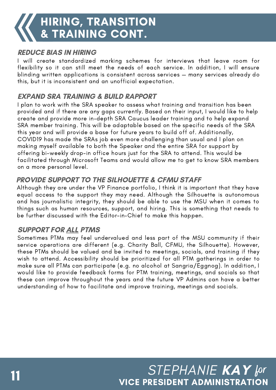#### REDUCE BIAS IN HIRING

I will create standardized marking schemes for interviews that leave room for flexibility so it can still meet the needs of each service. In addition, I will ensure blinding written applications is consistent across services — many services already do this, but it is inconsistent and an unofficial expectation.

#### EXPAND SRA TRAINING & BUILD RAPPORT

this year and will provide a base for future years to build off of. Additionally,<br>COVIDI9 has made the SPAs ish aver mare shallenging than your land Lalan c & PROMOTIONS making myself available to both the Speaker andthe entire SRA for support by I plan to work with the SRA speaker to assess what training and transition has been provided and if there are any gaps currently. Based on their input, I would like to help create and provide more in-depth SRA Caucus leader training and to help expand SRA member training. This will be adaptable based on the specific needs of the SRA COVID19 has made the SRAs job even more challenging than usual and I plan on offering bi-weekly drop-in office hours just for the SRA to attend. This would be facilitated through Microsoft Teams and would allow me to get to know SRA members on a more personal level.

#### PROVIDE SUPPORT TO THE SILHOUETTE & CFMU STAFF

Although they are under the VP Finance portfolio, I think it is important that they have equal access to the support they may need. Although the Silhouette is autonomous and has journalistic integrity, they should be able to use the MSU when it comes to things such as human resources, support, and hiring. This is something that needs to be further discussed with the Editor-in-Chief to make this happen.

#### SUPPORT FOR ALL PTMS

Sometimes PTMs may feel undervalued and less part of the MSU community if their service operations are different (e.g. Charity Ball, CFMU, the Silhouette). However, these PTMs should be valued and be invited to meetings, socials, and training if they wish to attend. Accessibility should be prioritized for all PTM gatherings in order to make sure all PTMs can participate (e.g. no alcohol at Sangria/Eggnog). In addition, I would like to provide feedback forms for PTM training, meetings, and socials so that these can improve throughout the years and the future VP Admins can have a better understanding of how to facilitate and improve training, meetings and socials.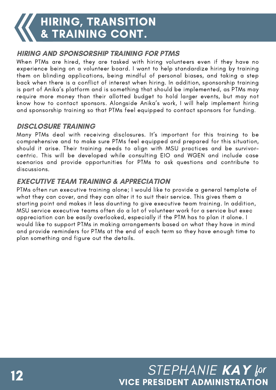# HIRING, TRANSITION & TRAINING CONT.

#### HIRING AND SPONSORSHIP TRAINING FOR PTMS

When PTMs are hired, they are tasked with hiring volunteers even if they have no experience being on a volunteer board. I want to help standardize hiring by training them on blinding applications, being mindful of personal biases, and taking a step back when there is a conflict of interest when hiring. In addition, sponsorship training is part of Anika's platform and is something that should be implemented, as PTMs may require more money than their allotted budget to hold larger events, but may not know how to contact sponsors. Alongside Anika's work, I will help implement hiring and sponsorship training so that PTMs feel equipped to contact sponsors for funding.

#### DISCLOSURE TRAINING

Many PTMs deal with receiving disclosures. It's important for this training to be comprehensive and to make sure PTMs feel equipped and prepared for this situation, should it arise. Their training needs to align with MSU practices and be survivorcentric. This will be developed while consulting EIO and WGEN and include case scenarios and provide opportunities for PTMs to ask questions and contribute to discussions.

#### EXECUTIVE TEAM TRAINING & APPRECIATION

appreciation can be easily overlooked, especially if the PTM has to plan it alone. I<br>would like to support PTMs in making arrangements based on what they have in mi would like to support I like in making arrangements based on what they have in timid<br>and provide reminders for PTMs at the end of each term so they have enough time to PTMs often run executive training alone; I would like to provide a general template of what they can cover, and they can alter it to suit their service. This gives them a starting point and makes it less daunting to give executive team training. In addition, MSU service executive teams often do a lot of volunteer work for a service but exec would like to support PTMs in making arrangements based on what they have in mind plan something and figure out the details.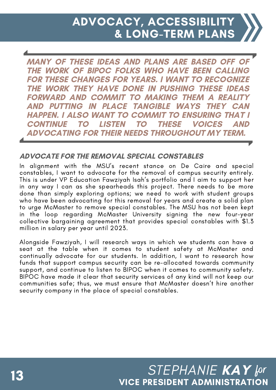MANY OF THESE IDEAS AND PLANS ARE BASED OFF OF THE WORK OF BIPOC FOLKS WHO HAVE BEEN CALLING FOR THESE CHANGES FOR YEARS. I WANT TO RECOGNIZE THE WORK THEY HAVE DONE IN PUSHING THESE IDEAS FORWARD AND COMMIT TO MAKING THEM A REALIT AND PUTTING IN PLACE TANGIBLE WAYS THEY HAPPEN. I ALSO WANT TO COMMIT TO ENSURING THAT I CONTINUE TO LISTEN TO THESE VOICES ADVOCATING FOR THEIR NEEDS THROUGHOUT MY TERM.

#### ADVOCATE FOR THE REMOVAL SPECIAL CONSTABLES

In alignment with the MSU's recent stance on De Caire and special constables, I want to advocate for the removal of campus security entirely. This is under VP Education Fawziyah Isah's portfolio and I aim to support her in any way I can as she spearheads this project. There needs to be more done than simply exploring options; we need to work with student groups who have been advocating for this removal for years and create a solid plan to urge McMaster to remove special constables. The MSU has not been kept in the loop regarding McMaster University signing the new four-year collective bargaining agreement that provides special constables with \$1.3 million in salary per year until 2023.

Alongside Fawziyah, I will research ways in which we students can have a seat at the table when it comes to student safety at McMaster and continually advocate for our students. In addition, I want to research how funds that support campus security can be re-allocated towards community support, and continue to listen to BIPOC when it comes to community safety. BIPOC have made it clear that security services of any kind will not keep our communities safe; thus, we must ensure that McMaster doesn't hire another security company in the place of special constables.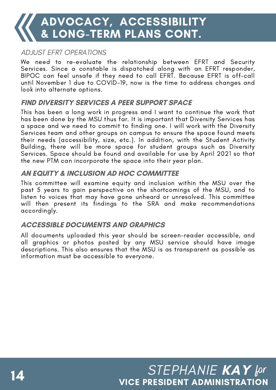# ADVOCACY, ACCESSIBILITY & LONG-TERM PLANS CONT.

#### ADJUST EFRT OPERATIONS

We need to re-evaluate the relationship between EFRT and Security Services. Since a constable is dispatched along with an EFRT responder, BIPOC can feel unsafe if they need to call EFRT. Because EFRT is off-call until November 1 due to COVID-19, now is the time to address changes and look into alternate options.

#### FIND DIVERSITY SERVICES A PEER SUPPORT SPACE

This has been a long work in progress and I want to continue the work that has been done by the MSU thus far. It is important that Diversity Services has a space and we need to commit to finding one. I will work with the Diversity Services team and other groups on campus to ensure the space found meets their needs (accessibility, size, etc.). In addition, with the Student Activity Building, there will be more space for student groups such as Diversity Services. Space should be found and available for use by April 2021 so that the new PTM can incorporate the space into their year plan.

#### AN EQUITY & INCLUSION AD HOC COMMITTEE

This committee will examine equity and inclusion within the MSU over the past 5 years to gain perspective on the shortcomings of the MSU, and to listen to voices that may have gone unheard or unresolved. This committee will then present its findings to the SRA and make recommendations accordingly.

#### ACCESSIBLE DOCUMENTS AND GRAPHICS

All documents uploaded this year should be screen-reader accessible, and all graphics or photos posted by any MSU service should have image descriptions. This also ensures that the MSU is as transparent as possible as information must be accessible to everyone.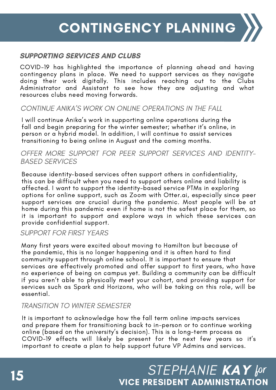#### SUPPORTING SERVICES AND CLUBS

COVID-19 has highlighted the importance of planning ahead and having contingency plans in place. We need to support services as they navigate doing their work digitally. This includes reaching out to the Clubs Administrator and Assistant to see how they are adjusting and what resources clubs need moving forwards.

#### CONTINUE ANIKA'S WORK ON ONLINE OPERATIONS IN THE FALL

I will continue Anika's work in supporting online operations during the fall and begin preparing for the winter semester; whether it's online, in person or a hybrid model. In addition, I will continue to assist services transitioning to being online in August and the coming months.

#### OFFER MORE SUPPORT FOR PEER SUPPORT SERVICES AND IDENTITY- BASED SERVICES

Because identity-based services often support others in confidentiality, this can be difficult when you need to support others online and liability is affected. I want to support the identity-based service PTMs in exploring options for online support, such as Zoom with Otter.ai, especially since peer support services are crucial during the pandemic. Most people will be at home during this pandemic even if home is not the safest place for them, so it is important to support and explore ways in which these services can provide confidential support.

#### SUPPORT FOR FIRST YEARS

Many first years were excited about moving to Hamilton but because of the pandemic, this is no longer happening and it is often hard to find community support through online school. It is important to ensure that services are effectively promoted and offer support to first years, who have no experience of being on campus yet. Building a community can be difficult if you aren't able to physically meet your cohort, and providing support for services such as Spark and Horizons, who will be taking on this role, will be essential.

#### TRANSITION TO WINTER SEMESTER

It is important to acknowledge how the fall term online impacts services and prepare them for transitioning back to in-person or to continue working online (based on the university's decision). This is a long-term process as COVID-19 effects will likely be present for the next few years so it's important to create a plan to help support future VP Admins and services.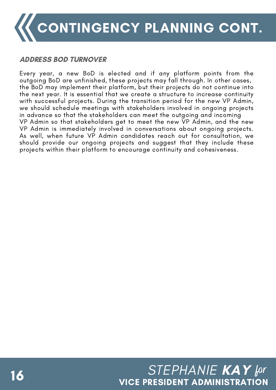

#### ADDRESS BOD TURNOVER

Every year, a new BoD is elected and if any platform points from the outgoing BoD are unfinished, these projects may fall through. In other cases, the BoD may implement their platform, but their projects do not continue into the next year. It is essential that we create a structure to increase continuity with successful projects. During the transition period for the new VP Admin, we should schedule meetings with stakeholders involved in ongoing projects in advance so that the stakeholders can meet the outgoing and incoming VP Admin so that stakeholders get to meet the new VP Admin, and the new VP Admin is immediately involved in conversations about ongoing projects. As well, when future VP Admin candidates reach out for consultation, we should provide our ongoing projects and suggest that they include these projects within their platform to encourage continuity and cohesiveness.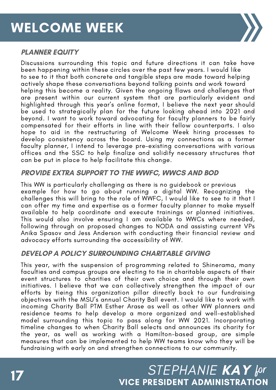

#### PLANNER EQUITY

Discussions surrounding this topic and future directions it can take have been happening within these circles over the past few years. I would like to see to it that both concrete and tangible steps are made toward helping actively shape these conversations beyond talking points and work toward helping this become a reality. Given the ongoing flaws and challenges that are present within our current system that are particularly evident and highlighted through this year's online format, I believe the next year should be used to strategically plan for the future looking ahead into 2021 and beyond. I want to work toward advocating for faculty planners to be fairly compensated for their efforts in line with their fellow counterparts. I also hope to aid in the restructuring of Welcome Week hiring processes to develop consistency across the board. Using my connections as a former faculty planner, I intend to leverage pre-existing conversations with various offices and the SSC to help finalize and solidify necessary structures that can be put in place to help facilitate this change.

#### PROVIDE EXTRA SUPPORT TO THE WWFC, WWCS AND BOD

This WW is particularly challenging as there is no guidebook or previous example for how to go about running a digital WW. Recognizing the challenges this will bring to the role of WWFC, I would like to see to it that I can offer my time and expertise as a former faculty planner to make myself available to help coordinate and execute trainings or planned initiatives. This would also involve ensuring I am available to WWCs where needed, following through on proposed changes to NODA and assisting current VPs Anika Spasov and Jess Anderson with conducting their financial review and advocacy efforts surrounding the accessibility of WW.

#### DEVELOP A POLICY SURROUNDING CHARITABLE GIVING

This year, with the suspension of programming related to Shinerama, many faculties and campus groups are electing to tie in charitable aspects of their event structures to charities of their own choice and through their own initiatives. I believe that we can collectively strengthen the impact of our efforts by tieing this organization pillar directly back to our fundraising objectives with the MSU's annual Charity Ball event. I would like to work with incoming Charity Ball PTM Esther Arase as well as other WW planners and residence teams to help develop a more organized and well-established model surrounding this topic to pass along for WW 2021. Incorporating timeline changes to when Charity Ball selects and announces its charity for the year, as well as working with a Hamilton-based group, are simple measures that can be implemented to help WW teams know who they will be fundraising with early on and strengthen connections to our community.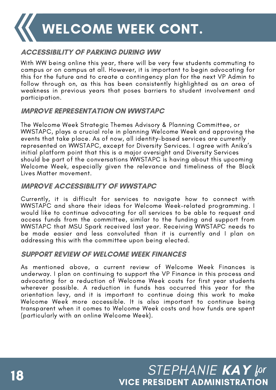WELCOME WEEK CONT.

#### ACCESSIBILITY OF PARKING DURING WW

With WW being online this year, there will be very few students commuting to campus or on campus at all. However, it is important to begin advocating for this for the future and to create a contingency plan for the next VP Admin to follow through on, as this has been consistently highlighted as an area of weakness in previous years that poses barriers to student involvement and participation.

#### IMPROVE REPRESENTATION ON WWSTAPC

The Welcome Week Strategic Themes Advisory & Planning Committee, or WWSTAPC, plays a crucial role in planning Welcome Week and approving the events that take place. As of now, all identity-based services are currently represented on WWSTAPC, except for Diversity Services. I agree with Anika's initial platform point that this is a major oversight and Diversity Services should be part of the conversations WWSTAPC is having about this upcoming Welcome Week, especially given the relevance and timeliness of the Black Lives Matter movement.

#### IMPROVE ACCESSIBILITY OF WWSTAPC

Currently, it is difficult for services to navigate how to connect with WWSTAPC and share their ideas for Welcome Week-related programming. I would like to continue advocating for all services to be able to request and access funds from the committee, similar to the funding and support from WWSTAPC that MSU Spark received last year. Receiving WWSTAPC needs to be made easier and less convoluted than it is currently and I plan on addressing this with the committee upon being elected.

#### SUPPORT REVIEW OF WELCOME WEEK FINANCES

As mentioned above, a current review of Welcome Week Finances is underway. I plan on continuing to support the VP Finance in this process and advocating for a reduction of Welcome Week costs for first year students wherever possible. A reduction in funds has occurred this year for the orientation levy, and it is important to continue doing this work to make Welcome Week more accessible. It is also important to continue being transparent when it comes to Welcome Week costs and how funds are spent (particularly with an online Welcome Week).